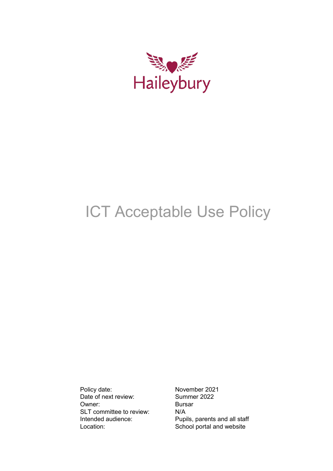

# ICT Acceptable Use Policy

Policy date: November 2021<br>Date of next review: Summer 2022 Date of next review: Summe<br>
Owner: Bursar Owner: SLT committee to review: N/A<br>Intended audience: Pup

Pupils, parents and all staff Location: School portal and website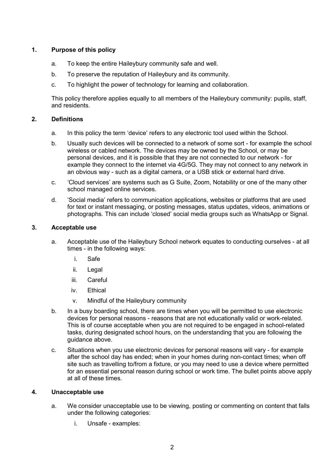## **1. Purpose of this policy**

- a. To keep the entire Haileybury community safe and well.
- b. To preserve the reputation of Haileybury and its community.
- c. To highlight the power of technology for learning and collaboration.

This policy therefore applies equally to all members of the Haileybury community: pupils, staff, and residents.

#### **2. Definitions**

- a. In this policy the term 'device' refers to any electronic tool used within the School.
- b. Usually such devices will be connected to a network of some sort for example the school wireless or cabled network. The devices may be owned by the School, or may be personal devices, and it is possible that they are not connected to our network - for example they connect to the internet via 4G/5G. They may not connect to any network in an obvious way - such as a digital camera, or a USB stick or external hard drive.
- c. 'Cloud services' are systems such as G Suite, Zoom, Notability or one of the many other school managed online services.
- d. 'Social media' refers to communication applications, websites or platforms that are used for text or instant messaging, or posting messages, status updates, videos, animations or photographs. This can include 'closed' social media groups such as WhatsApp or Signal.

#### **3. Acceptable use**

- a. Acceptable use of the Haileybury School network equates to conducting ourselves at all times - in the following ways:
	- i. Safe
	- ii. Legal
	- iii. Careful
	- iv. Ethical
	- v. Mindful of the Haileybury community
- b. In a busy boarding school, there are times when you will be permitted to use electronic devices for personal reasons - reasons that are not educationally valid or work-related. This is of course acceptable when you are not required to be engaged in school-related tasks, during designated school hours, on the understanding that you are following the guidance above.
- c. Situations when you use electronic devices for personal reasons will vary for example after the school day has ended; when in your homes during non-contact times; when off site such as travelling to/from a fixture, or you may need to use a device where permitted for an essential personal reason during school or work time. The bullet points above apply at all of these times.

#### **4. Unacceptable use**

- a. We consider unacceptable use to be viewing, posting or commenting on content that falls under the following categories:
	- i. Unsafe examples: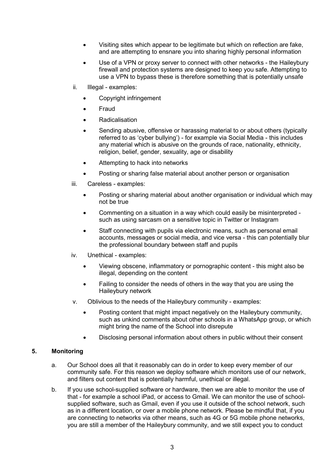- Visiting sites which appear to be legitimate but which on reflection are fake, and are attempting to ensnare you into sharing highly personal information
- Use of a VPN or proxy server to connect with other networks the Haileybury firewall and protection systems are designed to keep you safe. Attempting to use a VPN to bypass these is therefore something that is potentially unsafe
- ii. Illegal examples:
	- Copyright infringement
	- Fraud
	- **Radicalisation**
	- Sending abusive, offensive or harassing material to or about others (typically referred to as 'cyber bullying') - for example via Social Media - this includes any material which is abusive on the grounds of race, nationality, ethnicity, religion, belief, gender, sexuality, age or disability
	- Attempting to hack into networks
	- Posting or sharing false material about another person or organisation
- iii. Careless examples:
	- Posting or sharing material about another organisation or individual which may not be true
	- Commenting on a situation in a way which could easily be misinterpreted such as using sarcasm on a sensitive topic in Twitter or Instagram
	- Staff connecting with pupils via electronic means, such as personal email accounts, messages or social media, and vice versa - this can potentially blur the professional boundary between staff and pupils
- iv. Unethical examples:
	- Viewing obscene, inflammatory or pornographic content this might also be illegal, depending on the content
	- Failing to consider the needs of others in the way that you are using the Haileybury network
- v. Oblivious to the needs of the Haileybury community examples:
	- Posting content that might impact negatively on the Haileybury community, such as unkind comments about other schools in a WhatsApp group, or which might bring the name of the School into disrepute
	- Disclosing personal information about others in public without their consent

# **5. Monitoring**

- a. Our School does all that it reasonably can do in order to keep every member of our community safe. For this reason we deploy software which monitors use of our network, and filters out content that is potentially harmful, unethical or illegal.
- b. If you use school-supplied software or hardware, then we are able to monitor the use of that - for example a school iPad, or access to Gmail. We can monitor the use of schoolsupplied software, such as Gmail, even if you use it outside of the school network, such as in a different location, or over a mobile phone network. Please be mindful that, if you are connecting to networks via other means, such as 4G or 5G mobile phone networks, you are still a member of the Haileybury community, and we still expect you to conduct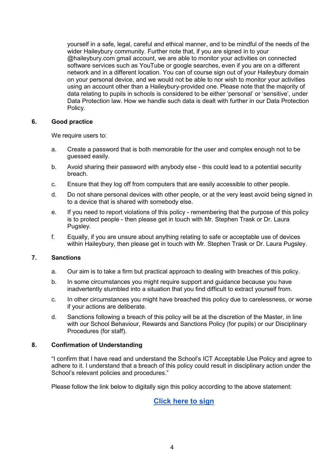yourself in a safe, legal, careful and ethical manner, and to be mindful of the needs of the wider Haileybury community. Further note that, if you are signed in to your @haileybury.com gmail account, we are able to monitor your activities on connected software services such as YouTube or google searches, even if you are on a different network and in a different location. You can of course sign out of your Haileybury domain on your personal device, and we would not be able to nor wish to monitor your activities using an account other than a Haileybury-provided one. Please note that the majority of data relating to pupils in schools is considered to be either 'personal' or 'sensitive', under Data Protection law. How we handle such data is dealt with further in our Data Protection Policy.

#### **6. Good practice**

We require users to:

- a. Create a password that is both memorable for the user and complex enough not to be guessed easily.
- b. Avoid sharing their password with anybody else this could lead to a potential security breach.
- c. Ensure that they log off from computers that are easily accessible to other people.
- d. Do not share personal devices with other people, or at the very least avoid being signed in to a device that is shared with somebody else.
- e. If you need to report violations of this policy remembering that the purpose of this policy is to protect people - then please get in touch with Mr. Stephen Trask or Dr. Laura Pugsley.
- f. Equally, if you are unsure about anything relating to safe or acceptable use of devices within Haileybury, then please get in touch with Mr. Stephen Trask or Dr. Laura Pugsley.

## **7. Sanctions**

- a. Our aim is to take a firm but practical approach to dealing with breaches of this policy.
- b. In some circumstances you might require support and guidance because you have inadvertently stumbled into a situation that you find difficult to extract yourself from.
- c. In other circumstances you might have breached this policy due to carelessness, or worse if your actions are deliberate.
- d. Sanctions following a breach of this policy will be at the discretion of the Master, in line with our School Behaviour, Rewards and Sanctions Policy (for pupils) or our Disciplinary Procedures (for staff).

#### **8. Confirmation of Understanding**

"I confirm that I have read and understand the School's ICT Acceptable Use Policy and agree to adhere to it. I understand that a breach of this policy could result in disciplinary action under the School's relevant policies and procedures."

Please follow the link below to digitally sign this policy according to the above statement:

**[Click here to sign](https://docs.google.com/forms/d/e/1FAIpQLSe_FeRzUq2xz0ebTsZLbJpnJzbLPHCyMTRVKYV-T0Dzpf_09A/viewform?usp=sf_link)**